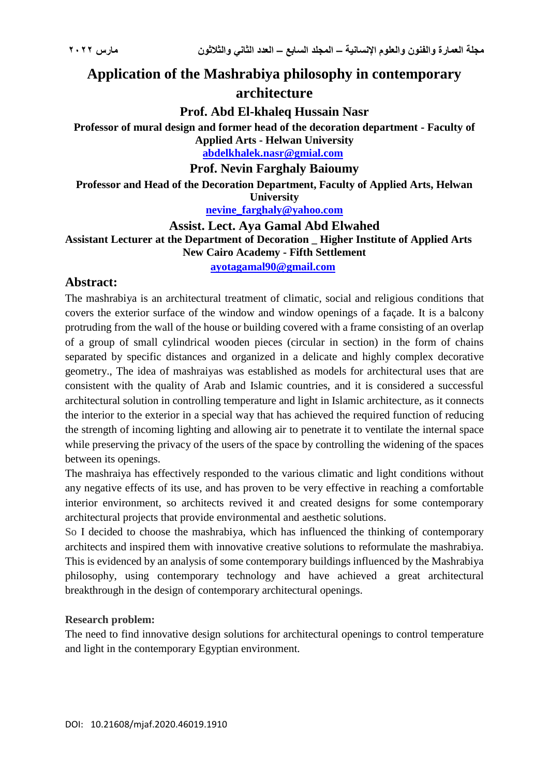# **Application of the Mashrabiya philosophy in contemporary architecture**

**Prof. Abd El-khaleq Hussain Nasr**

**Professor of mural design and former head of the decoration department - Faculty of Applied Arts - Helwan University**

**[abdelkhalek.nasr@gmial.com](mailto:abdelkhalek.nasr@gmial.com)**

**Prof. Nevin Farghaly Baioumy**

**Professor and Head of the Decoration Department, Faculty of Applied Arts, Helwan University**

**[nevine\\_farghaly@yahoo.com](mailto:nevine_farghaly@yahoo.com)**

**Assist. Lect. Aya Gamal Abd Elwahed Assistant Lecturer at the Department of Decoration \_ Higher Institute of Applied Arts New Cairo Academy - Fifth Settlement**

**[ayotagamal90@gmail.com](mailto:ayotagamal90@gmail.com)**

# **Abstract:**

The mashrabiya is an architectural treatment of climatic, social and religious conditions that covers the exterior surface of the window and window openings of a façade. It is a balcony protruding from the wall of the house or building covered with a frame consisting of an overlap of a group of small cylindrical wooden pieces (circular in section) in the form of chains separated by specific distances and organized in a delicate and highly complex decorative geometry., The idea of mashraiyas was established as models for architectural uses that are consistent with the quality of Arab and Islamic countries, and it is considered a successful architectural solution in controlling temperature and light in Islamic architecture, as it connects the interior to the exterior in a special way that has achieved the required function of reducing the strength of incoming lighting and allowing air to penetrate it to ventilate the internal space while preserving the privacy of the users of the space by controlling the widening of the spaces between its openings.

The mashraiya has effectively responded to the various climatic and light conditions without any negative effects of its use, and has proven to be very effective in reaching a comfortable interior environment, so architects revived it and created designs for some contemporary architectural projects that provide environmental and aesthetic solutions.

So I decided to choose the mashrabiya, which has influenced the thinking of contemporary architects and inspired them with innovative creative solutions to reformulate the mashrabiya. This is evidenced by an analysis of some contemporary buildings influenced by the Mashrabiya philosophy, using contemporary technology and have achieved a great architectural breakthrough in the design of contemporary architectural openings.

## **Research problem:**

The need to find innovative design solutions for architectural openings to control temperature and light in the contemporary Egyptian environment.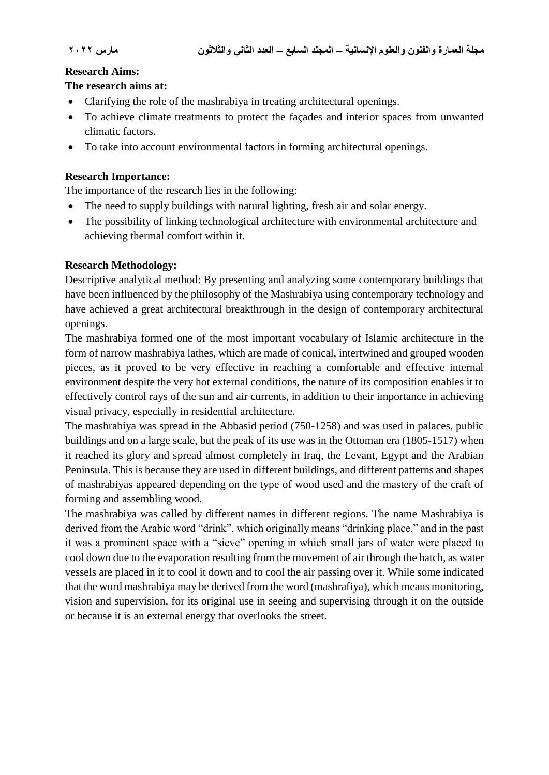#### **Research Aims:**

#### **The research aims at:**

- Clarifying the role of the mashrabiya in treating architectural openings.
- To achieve climate treatments to protect the facades and interior spaces from unwanted climatic factors.
- To take into account environmental factors in forming architectural openings.

#### **Research Importance:**

The importance of the research lies in the following:

- The need to supply buildings with natural lighting, fresh air and solar energy.
- The possibility of linking technological architecture with environmental architecture and achieving thermal comfort within it.

## **Research Methodology:**

Descriptive analytical method: By presenting and analyzing some contemporary buildings that have been influenced by the philosophy of the Mashrabiya using contemporary technology and have achieved a great architectural breakthrough in the design of contemporary architectural openings.

The mashrabiya formed one of the most important vocabulary of Islamic architecture in the form of narrow mashrabiya lathes, which are made of conical, intertwined and grouped wooden pieces, as it proved to be very effective in reaching a comfortable and effective internal environment despite the very hot external conditions, the nature of its composition enables it to effectively control rays of the sun and air currents, in addition to their importance in achieving visual privacy, especially in residential architecture.

The mashrabiya was spread in the Abbasid period (750-1258) and was used in palaces, public buildings and on a large scale, but the peak of its use was in the Ottoman era (1805-1517) when it reached its glory and spread almost completely in Iraq, the Levant, Egypt and the Arabian Peninsula. This is because they are used in different buildings, and different patterns and shapes of mashrabiyas appeared depending on the type of wood used and the mastery of the craft of forming and assembling wood.

The mashrabiya was called by different names in different regions. The name Mashrabiya is derived from the Arabic word "drink", which originally means "drinking place," and in the past it was a prominent space with a "sieve" opening in which small jars of water were placed to cool down due to the evaporation resulting from the movement of air through the hatch, as water vessels are placed in it to cool it down and to cool the air passing over it. While some indicated that the word mashrabiya may be derived from the word (mashrafiya), which means monitoring, vision and supervision, for its original use in seeing and supervising through it on the outside or because it is an external energy that overlooks the street.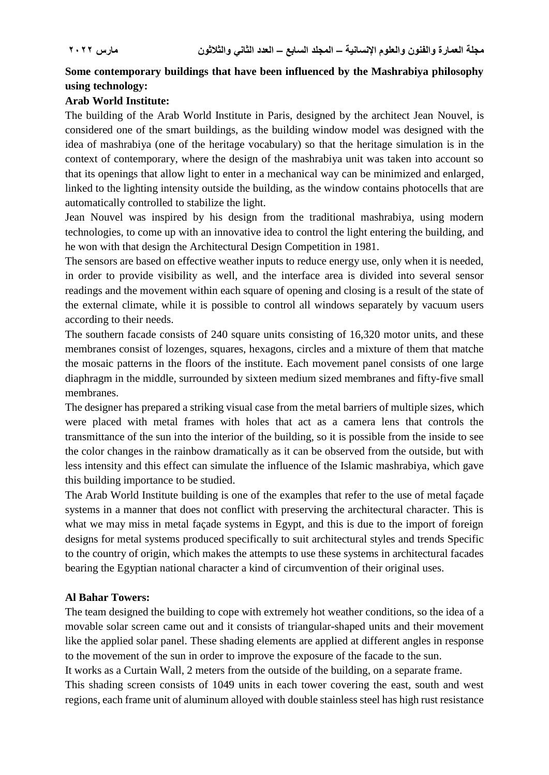# **Some contemporary buildings that have been influenced by the Mashrabiya philosophy using technology:**

# **Arab World Institute:**

The building of the Arab World Institute in Paris, designed by the architect Jean Nouvel, is considered one of the smart buildings, as the building window model was designed with the idea of mashrabiya (one of the heritage vocabulary) so that the heritage simulation is in the context of contemporary, where the design of the mashrabiya unit was taken into account so that its openings that allow light to enter in a mechanical way can be minimized and enlarged, linked to the lighting intensity outside the building, as the window contains photocells that are automatically controlled to stabilize the light.

Jean Nouvel was inspired by his design from the traditional mashrabiya, using modern technologies, to come up with an innovative idea to control the light entering the building, and he won with that design the Architectural Design Competition in 1981.

The sensors are based on effective weather inputs to reduce energy use, only when it is needed, in order to provide visibility as well, and the interface area is divided into several sensor readings and the movement within each square of opening and closing is a result of the state of the external climate, while it is possible to control all windows separately by vacuum users according to their needs.

The southern facade consists of 240 square units consisting of 16,320 motor units, and these membranes consist of lozenges, squares, hexagons, circles and a mixture of them that matche the mosaic patterns in the floors of the institute. Each movement panel consists of one large diaphragm in the middle, surrounded by sixteen medium sized membranes and fifty-five small membranes.

The designer has prepared a striking visual case from the metal barriers of multiple sizes, which were placed with metal frames with holes that act as a camera lens that controls the transmittance of the sun into the interior of the building, so it is possible from the inside to see the color changes in the rainbow dramatically as it can be observed from the outside, but with less intensity and this effect can simulate the influence of the Islamic mashrabiya, which gave this building importance to be studied.

The Arab World Institute building is one of the examples that refer to the use of metal façade systems in a manner that does not conflict with preserving the architectural character. This is what we may miss in metal façade systems in Egypt, and this is due to the import of foreign designs for metal systems produced specifically to suit architectural styles and trends Specific to the country of origin, which makes the attempts to use these systems in architectural facades bearing the Egyptian national character a kind of circumvention of their original uses.

# **Al Bahar Towers:**

The team designed the building to cope with extremely hot weather conditions, so the idea of a movable solar screen came out and it consists of triangular-shaped units and their movement like the applied solar panel. These shading elements are applied at different angles in response to the movement of the sun in order to improve the exposure of the facade to the sun.

It works as a Curtain Wall, 2 meters from the outside of the building, on a separate frame.

This shading screen consists of 1049 units in each tower covering the east, south and west regions, each frame unit of aluminum alloyed with double stainless steel has high rust resistance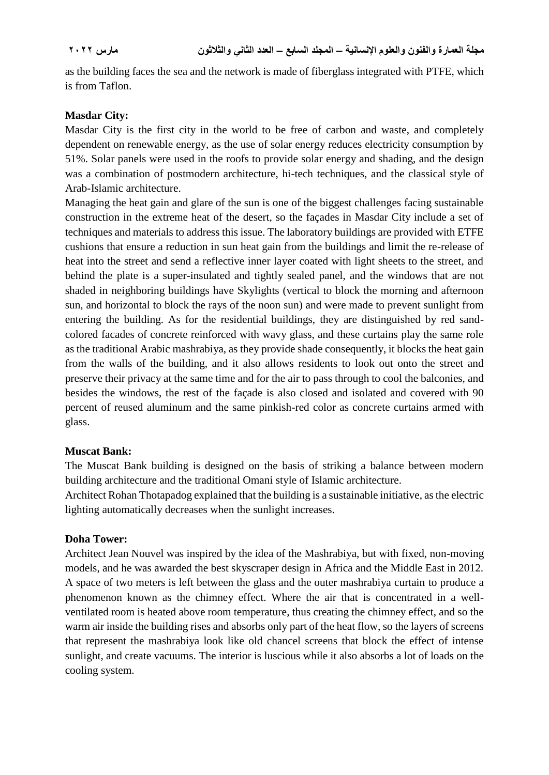as the building faces the sea and the network is made of fiberglass integrated with PTFE, which is from Taflon.

#### **Masdar City:**

Masdar City is the first city in the world to be free of carbon and waste, and completely dependent on renewable energy, as the use of solar energy reduces electricity consumption by 51%. Solar panels were used in the roofs to provide solar energy and shading, and the design was a combination of postmodern architecture, hi-tech techniques, and the classical style of Arab-Islamic architecture.

Managing the heat gain and glare of the sun is one of the biggest challenges facing sustainable construction in the extreme heat of the desert, so the façades in Masdar City include a set of techniques and materials to address this issue. The laboratory buildings are provided with ETFE cushions that ensure a reduction in sun heat gain from the buildings and limit the re-release of heat into the street and send a reflective inner layer coated with light sheets to the street, and behind the plate is a super-insulated and tightly sealed panel, and the windows that are not shaded in neighboring buildings have Skylights (vertical to block the morning and afternoon sun, and horizontal to block the rays of the noon sun) and were made to prevent sunlight from entering the building. As for the residential buildings, they are distinguished by red sandcolored facades of concrete reinforced with wavy glass, and these curtains play the same role as the traditional Arabic mashrabiya, as they provide shade consequently, it blocks the heat gain from the walls of the building, and it also allows residents to look out onto the street and preserve their privacy at the same time and for the air to pass through to cool the balconies, and besides the windows, the rest of the façade is also closed and isolated and covered with 90 percent of reused aluminum and the same pinkish-red color as concrete curtains armed with glass.

## **Muscat Bank:**

The Muscat Bank building is designed on the basis of striking a balance between modern building architecture and the traditional Omani style of Islamic architecture.

Architect Rohan Thotapadog explained that the building is a sustainable initiative, as the electric lighting automatically decreases when the sunlight increases.

#### **Doha Tower:**

Architect Jean Nouvel was inspired by the idea of the Mashrabiya, but with fixed, non-moving models, and he was awarded the best skyscraper design in Africa and the Middle East in 2012. A space of two meters is left between the glass and the outer mashrabiya curtain to produce a phenomenon known as the chimney effect. Where the air that is concentrated in a wellventilated room is heated above room temperature, thus creating the chimney effect, and so the warm air inside the building rises and absorbs only part of the heat flow, so the layers of screens that represent the mashrabiya look like old chancel screens that block the effect of intense sunlight, and create vacuums. The interior is luscious while it also absorbs a lot of loads on the cooling system.